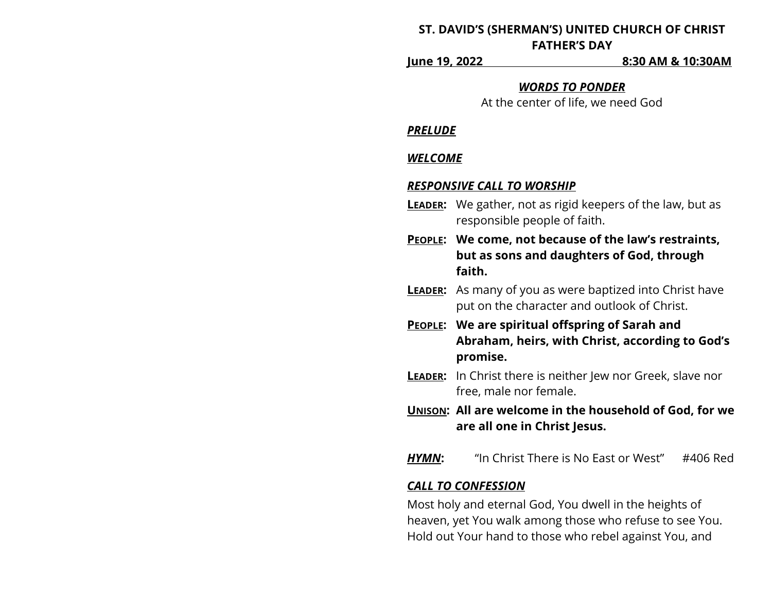# **ST. DAVID'S (SHERMAN'S) UNITED CHURCH OF CHRIST FATHER'S DAY**

**June 19, 2022 8:30 AM & 10:30AM**

#### *WORDS TO PONDER*

At the center of life, we need God

#### *PRELUDE*

### *WELCOME*

#### *RESPONSIVE CALL TO WORSHIP*

- **LEADER:** We gather, not as rigid keepers of the law, but as responsible people of faith.
- **PEOPLE: We come, not because of the law's restraints, but as sons and daughters of God, through faith.**
- **LEADER:** As many of you as were baptized into Christ have put on the character and outlook of Christ.
- **PEOPLE: We are spiritual offspring of Sarah and Abraham, heirs, with Christ, according to God's promise.**
- **LEADER:** In Christ there is neither Jew nor Greek, slave nor free, male nor female.
- **UNISON: All are welcome in the household of God, for we are all one in Christ Jesus.**
- *HYMN***:** "In Christ There is No East or West" #406 Red

### *CALL TO CONFESSION*

Most holy and eternal God, You dwell in the heights of heaven, yet You walk among those who refuse to see You. Hold out Your hand to those who rebel against You, and